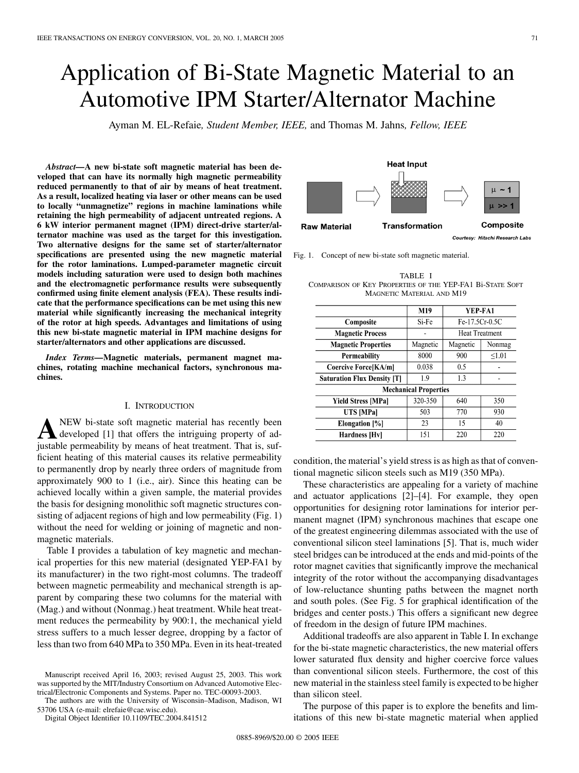# Application of Bi-State Magnetic Material to an Automotive IPM Starter/Alternator Machine

Ayman M. EL-Refaie*, Student Member, IEEE,* and Thomas M. Jahns*, Fellow, IEEE*

*Abstract—***A new bi-state soft magnetic material has been developed that can have its normally high magnetic permeability reduced permanently to that of air by means of heat treatment. As a result, localized heating via laser or other means can be used to locally "unmagnetize" regions in machine laminations while retaining the high permeability of adjacent untreated regions. A 6 kW interior permanent magnet (IPM) direct-drive starter/alternator machine was used as the target for this investigation. Two alternative designs for the same set of starter/alternator specifications are presented using the new magnetic material for the rotor laminations. Lumped-parameter magnetic circuit models including saturation were used to design both machines and the electromagnetic performance results were subsequently confirmed using finite element analysis (FEA). These results indicate that the performance specifications can be met using this new material while significantly increasing the mechanical integrity of the rotor at high speeds. Advantages and limitations of using this new bi-state magnetic material in IPM machine designs for starter/alternators and other applications are discussed.**

*Index Terms—***Magnetic materials, permanent magnet machines, rotating machine mechanical factors, synchronous machines.**

## I. INTRODUCTION

**A**NEW bi-state soft magnetic material has recently been<br>developed [[1\]](#page-8-0) that offers the intriguing property of adjustable permeability by means of heat treatment. That is, sufficient heating of this material causes its relative permeability to permanently drop by nearly three orders of magnitude from approximately 900 to 1 (i.e., air). Since this heating can be achieved locally within a given sample, the material provides the basis for designing monolithic soft magnetic structures consisting of adjacent regions of high and low permeability (Fig. 1) without the need for welding or joining of magnetic and nonmagnetic materials.

Table I provides a tabulation of key magnetic and mechanical properties for this new material (designated YEP-FA1 by its manufacturer) in the two right-most columns. The tradeoff between magnetic permeability and mechanical strength is apparent by comparing these two columns for the material with (Mag.) and without (Nonmag.) heat treatment. While heat treatment reduces the permeability by 900:1, the mechanical yield stress suffers to a much lesser degree, dropping by a factor of less than two from 640 MPa to 350 MPa. Even in its heat-treated

The authors are with the University of Wisconsin–Madison, Madison, WI 53706 USA (e-mail: elrefaie@cae.wisc.edu).

Digital Object Identifier 10.1109/TEC.2004.841512

Composite **Raw Material Transformation** Courtesy: Hitachi Research Labs Fig. 1. Concept of new bi-state soft magnetic material.

**Heat Input** 

| TABLE I                                                   |
|-----------------------------------------------------------|
| COMPARISON OF KEY PROPERTIES OF THE YEP-FA1 BI-STATE SOFT |
| MAGNETIC MATERIAL AND M19                                 |

|                                    | M19      | YEP-FA1               |        |
|------------------------------------|----------|-----------------------|--------|
| Composite                          | Si-Fe    | Fe-17.5Cr-0.5C        |        |
| <b>Magnetic Process</b>            |          | <b>Heat Treatment</b> |        |
| <b>Magnetic Properties</b>         | Magnetic | Magnetic              | Nonmag |
| Permeability                       | 8000     | 900                   | < 1.01 |
| Coercive Force[KA/m]               | 0.038    | 0.5                   |        |
| <b>Saturation Flux Density [T]</b> | 1.9      | 1.3                   |        |
| <b>Mechanical Properties</b>       |          |                       |        |
| Yield Stress [MPa]                 | 320-350  | 640                   | 350    |
| UTS [MPa]                          | 503      | 770                   | 930    |
| Elongation [%]                     | 23       | 15                    | 40     |
| Hardness [Hv]                      | 151      | 220                   | 220    |

condition, the material's yield stress is as high as that of conventional magnetic silicon steels such as M19 (350 MPa).

These characteristics are appealing for a variety of machine and actuator applications [\[2](#page-8-0)]–[[4\]](#page-8-0). For example, they open opportunities for designing rotor laminations for interior permanent magnet (IPM) synchronous machines that escape one of the greatest engineering dilemmas associated with the use of conventional silicon steel laminations [[5\]](#page-8-0). That is, much wider steel bridges can be introduced at the ends and mid-points of the rotor magnet cavities that significantly improve the mechanical integrity of the rotor without the accompanying disadvantages of low-reluctance shunting paths between the magnet north and south poles. (See Fig. 5 for graphical identification of the bridges and center posts.) This offers a significant new degree of freedom in the design of future IPM machines.

Additional tradeoffs are also apparent in Table I. In exchange for the bi-state magnetic characteristics, the new material offers lower saturated flux density and higher coercive force values than conventional silicon steels. Furthermore, the cost of this new material in the stainless steel family is expected to be higher than silicon steel.

The purpose of this paper is to explore the benefits and limitations of this new bi-state magnetic material when applied

 $\mu \sim 1$ 

Manuscript received April 16, 2003; revised August 25, 2003. This work was supported by the MIT/Industry Consortium on Advanced Automotive Electrical/Electronic Components and Systems. Paper no. TEC-00093-2003.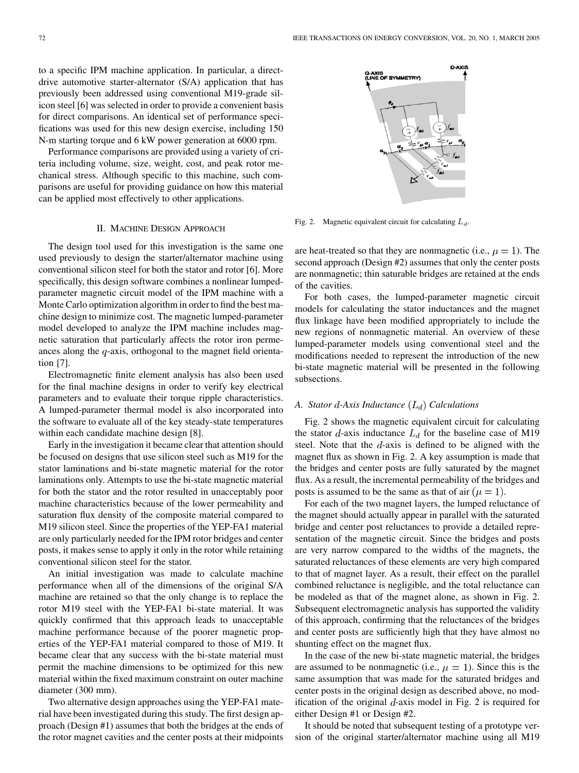to a specific IPM machine application. In particular, a directdrive automotive starter-alternator (S/A) application that has previously been addressed using conventional M19-grade silicon steel [\[6](#page-8-0)] was selected in order to provide a convenient basis for direct comparisons. An identical set of performance specifications was used for this new design exercise, including 150 N-m starting torque and 6 kW power generation at 6000 rpm.

Performance comparisons are provided using a variety of criteria including volume, size, weight, cost, and peak rotor mechanical stress. Although specific to this machine, such comparisons are useful for providing guidance on how this material can be applied most effectively to other applications.

#### II. MACHINE DESIGN APPROACH

The design tool used for this investigation is the same one used previously to design the starter/alternator machine using conventional silicon steel for both the stator and rotor [\[6](#page-8-0)]. More specifically, this design software combines a nonlinear lumpedparameter magnetic circuit model of the IPM machine with a Monte Carlo optimization algorithm in order to find the best machine design to minimize cost. The magnetic lumped-parameter model developed to analyze the IPM machine includes magnetic saturation that particularly affects the rotor iron permeances along the  $q$ -axis, orthogonal to the magnet field orientation [\[7](#page-8-0)].

Electromagnetic finite element analysis has also been used for the final machine designs in order to verify key electrical parameters and to evaluate their torque ripple characteristics. A lumped-parameter thermal model is also incorporated into the software to evaluate all of the key steady-state temperatures within each candidate machine design [\[8](#page-8-0)].

Early in the investigation it became clear that attention should be focused on designs that use silicon steel such as M19 for the stator laminations and bi-state magnetic material for the rotor laminations only. Attempts to use the bi-state magnetic material for both the stator and the rotor resulted in unacceptably poor machine characteristics because of the lower permeability and saturation flux density of the composite material compared to M19 silicon steel. Since the properties of the YEP-FA1 material are only particularly needed for the IPM rotor bridges and center posts, it makes sense to apply it only in the rotor while retaining conventional silicon steel for the stator.

An initial investigation was made to calculate machine performance when all of the dimensions of the original S/A machine are retained so that the only change is to replace the rotor M19 steel with the YEP-FA1 bi-state material. It was quickly confirmed that this approach leads to unacceptable machine performance because of the poorer magnetic properties of the YEP-FA1 material compared to those of M19. It became clear that any success with the bi-state material must permit the machine dimensions to be optimized for this new material within the fixed maximum constraint on outer machine diameter (300 mm).

Two alternative design approaches using the YEP-FA1 material have been investigated during this study. The first design approach (Design #1) assumes that both the bridges at the ends of the rotor magnet cavities and the center posts at their midpoints



Fig. 2. Magnetic equivalent circuit for calculating  $L_d$ .

are heat-treated so that they are nonmagnetic (i.e.,  $\mu = 1$ ). The second approach (Design #2) assumes that only the center posts are nonmagnetic; thin saturable bridges are retained at the ends of the cavities.

For both cases, the lumped-parameter magnetic circuit models for calculating the stator inductances and the magnet flux linkage have been modified appropriately to include the new regions of nonmagnetic material. An overview of these lumped-parameter models using conventional steel and the modifications needed to represent the introduction of the new bi-state magnetic material will be presented in the following subsections.

## *A. Stator -Axis Inductance Calculations*

Fig. 2 shows the magnetic equivalent circuit for calculating the stator  $d$ -axis inductance  $L_d$  for the baseline case of M19 steel. Note that the  $d$ -axis is defined to be aligned with the magnet flux as shown in Fig. 2. A key assumption is made that the bridges and center posts are fully saturated by the magnet flux. As a result, the incremental permeability of the bridges and posts is assumed to be the same as that of air ( $\mu = 1$ ).

For each of the two magnet layers, the lumped reluctance of the magnet should actually appear in parallel with the saturated bridge and center post reluctances to provide a detailed representation of the magnetic circuit. Since the bridges and posts are very narrow compared to the widths of the magnets, the saturated reluctances of these elements are very high compared to that of magnet layer. As a result, their effect on the parallel combined reluctance is negligible, and the total reluctance can be modeled as that of the magnet alone, as shown in Fig. 2. Subsequent electromagnetic analysis has supported the validity of this approach, confirming that the reluctances of the bridges and center posts are sufficiently high that they have almost no shunting effect on the magnet flux.

In the case of the new bi-state magnetic material, the bridges are assumed to be nonmagnetic (i.e.,  $\mu = 1$ ). Since this is the same assumption that was made for the saturated bridges and center posts in the original design as described above, no modification of the original  $d$ -axis model in Fig. 2 is required for either Design #1 or Design #2.

It should be noted that subsequent testing of a prototype version of the original starter/alternator machine using all M19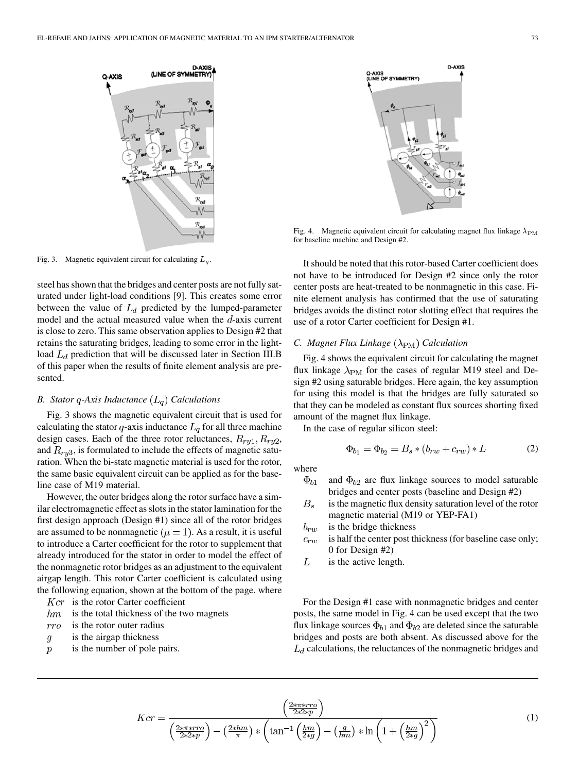

Fig. 3. Magnetic equivalent circuit for calculating  $L_q$ .

steel has shown that the bridges and center posts are not fully saturated under light-load conditions [[9\]](#page-8-0). This creates some error between the value of  $L_d$  predicted by the lumped-parameter model and the actual measured value when the  $d$ -axis current is close to zero. This same observation applies to Design #2 that retains the saturating bridges, leading to some error in the lightload  $L_d$  prediction that will be discussed later in Section III.B of this paper when the results of finite element analysis are presented.

## *B. Stator q-Axis Inductance*  $(L_q)$  *Calculations*

Fig. 3 shows the magnetic equivalent circuit that is used for calculating the stator  $q$ -axis inductance  $L_q$  for all three machine design cases. Each of the three rotor reluctances,  $R_{ry1}, R_{ry2}$ , and  $R_{ry3}$ , is formulated to include the effects of magnetic saturation. When the bi-state magnetic material is used for the rotor, the same basic equivalent circuit can be applied as for the baseline case of M19 material.

However, the outer bridges along the rotor surface have a similar electromagnetic effect as slots in the stator lamination for the first design approach (Design #1) since all of the rotor bridges are assumed to be nonmagnetic ( $\mu = 1$ ). As a result, it is useful to introduce a Carter coefficient for the rotor to supplement that already introduced for the stator in order to model the effect of the nonmagnetic rotor bridges as an adjustment to the equivalent airgap length. This rotor Carter coefficient is calculated using the following equation, shown at the bottom of the page. where

- $Kcr$  is the rotor Carter coefficient
- is the total thickness of the two magnets  $hm$
- $rro$ is the rotor outer radius
- is the airgap thickness  $\mathfrak{g}$
- is the number of pole pairs.  $\overline{p}$



Fig. 4. Magnetic equivalent circuit for calculating magnet flux linkage  $\lambda_{\rm PM}$ for baseline machine and Design #2.

It should be noted that this rotor-based Carter coefficient does not have to be introduced for Design #2 since only the rotor center posts are heat-treated to be nonmagnetic in this case. Finite element analysis has confirmed that the use of saturating bridges avoids the distinct rotor slotting effect that requires the use of a rotor Carter coefficient for Design #1.

# *C. Magnet Flux Linkage* ( $\lambda_{\rm PM}$ ) Calculation

Fig. 4 shows the equivalent circuit for calculating the magnet flux linkage  $\lambda_{\rm PM}$  for the cases of regular M19 steel and Design #2 using saturable bridges. Here again, the key assumption for using this model is that the bridges are fully saturated so that they can be modeled as constant flux sources shorting fixed amount of the magnet flux linkage.

In the case of regular silicon steel:

$$
\Phi_{b_1} = \Phi_{b_2} = B_s * (b_{rw} + c_{rw}) * L \tag{2}
$$

where

- $\Phi_{b1}$ and  $\Phi_{b2}$  are flux linkage sources to model saturable bridges and center posts (baseline and Design #2)
- $B_s$ is the magnetic flux density saturation level of the rotor magnetic material (M19 or YEP-FA1)
- $b_{rw}$ is the bridge thickness
- is half the center post thickness (for baseline case only;  $c_{rw}$ 0 for Design #2)
- L is the active length.

For the Design #1 case with nonmagnetic bridges and center posts, the same model in Fig. 4 can be used except that the two flux linkage sources  $\Phi_{b1}$  and  $\Phi_{b2}$  are deleted since the saturable bridges and posts are both absent. As discussed above for the  $L_d$  calculations, the reluctances of the nonmagnetic bridges and

(1)

$$
Kcr = \frac{\left(\frac{2*\pi*rro}{2*2*p}\right)}{\left(\frac{2*\pi*rro}{2*2*p}\right) - \left(\frac{2*hm}{\pi}\right)*\left(\tan^{-1}\left(\frac{hm}{2*g}\right) - \left(\frac{g}{hm}\right)*\ln\left(1 + \left(\frac{hm}{2*g}\right)^2\right)\right)}
$$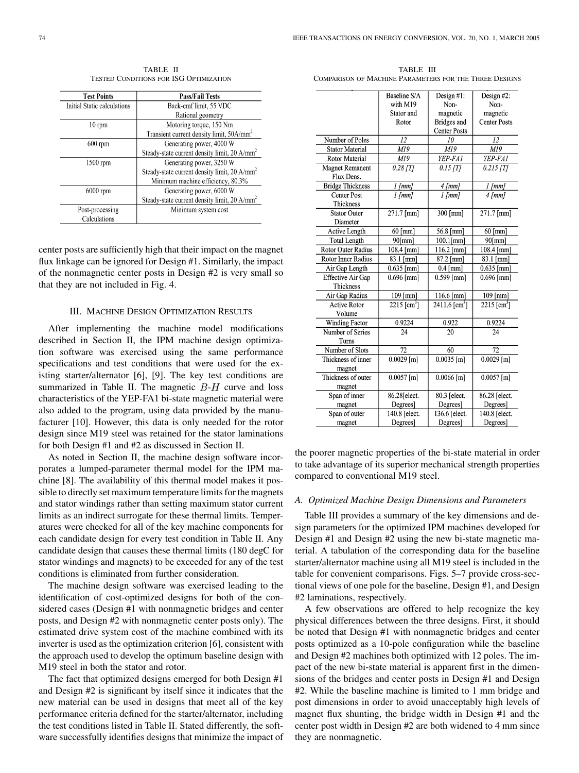TABLE II TESTED CONDITIONS FOR ISG OPTIMIZATION

| <b>Test Points</b>          | <b>Pass/Fail Tests</b>                                   |  |
|-----------------------------|----------------------------------------------------------|--|
| Initial Static calculations | Back-emf limit, 55 VDC                                   |  |
|                             | Rational geometry                                        |  |
| $10 \text{ rpm}$            | Motoring torque, 150 Nm                                  |  |
|                             | Transient current density limit, 50A/mm <sup>2</sup>     |  |
| $600$ rpm                   | Generating power, 4000 W                                 |  |
|                             | Steady-state current density limit, 20 A/mm <sup>2</sup> |  |
| $1500$ rpm                  | Generating power, 3250 W                                 |  |
|                             | Steady-state current density limit, 20 A/mm <sup>2</sup> |  |
|                             | Minimum machine efficiency, 80.3%                        |  |
| $6000$ rpm                  | Generating power, 6000 W                                 |  |
|                             | Steady-state current density limit, 20 A/mm <sup>2</sup> |  |
| Post-processing             | Minimum system cost                                      |  |
| Calculations                |                                                          |  |

center posts are sufficiently high that their impact on the magnet flux linkage can be ignored for Design #1. Similarly, the impact of the nonmagnetic center posts in Design #2 is very small so that they are not included in Fig. 4.

## III. MACHINE DESIGN OPTIMIZATION RESULTS

After implementing the machine model modifications described in Section II, the IPM machine design optimization software was exercised using the same performance specifications and test conditions that were used for the existing starter/alternator [\[6](#page-8-0)], [\[9](#page-8-0)]. The key test conditions are summarized in Table II. The magnetic  $B-H$  curve and loss characteristics of the YEP-FA1 bi-state magnetic material were also added to the program, using data provided by the manufacturer [\[10](#page-8-0)]. However, this data is only needed for the rotor design since M19 steel was retained for the stator laminations for both Design #1 and #2 as discussed in Section II.

As noted in Section II, the machine design software incorporates a lumped-parameter thermal model for the IPM machine [\[8](#page-8-0)]. The availability of this thermal model makes it possible to directly set maximum temperature limits for the magnets and stator windings rather than setting maximum stator current limits as an indirect surrogate for these thermal limits. Temperatures were checked for all of the key machine components for each candidate design for every test condition in Table II. Any candidate design that causes these thermal limits (180 degC for stator windings and magnets) to be exceeded for any of the test conditions is eliminated from further consideration.

The machine design software was exercised leading to the identification of cost-optimized designs for both of the considered cases (Design #1 with nonmagnetic bridges and center posts, and Design #2 with nonmagnetic center posts only). The estimated drive system cost of the machine combined with its inverter is used as the optimization criterion [[6\]](#page-8-0), consistent with the approach used to develop the optimum baseline design with M19 steel in both the stator and rotor.

The fact that optimized designs emerged for both Design #1 and Design #2 is significant by itself since it indicates that the new material can be used in designs that meet all of the key performance criteria defined for the starter/alternator, including the test conditions listed in Table II. Stated differently, the software successfully identifies designs that minimize the impact of

TABLE III COMPARISON OF MACHINE PARAMETERS FOR THE THREE DESIGNS

|                         | Baseline S/A          | Design #1:                  | Design #2:          |
|-------------------------|-----------------------|-----------------------------|---------------------|
|                         | with M19              | Non-                        | Non-                |
|                         | Stator and            | magnetic                    | magnetic            |
|                         | Rotor                 | <b>Bridges</b> and          | <b>Center Posts</b> |
|                         |                       | <b>Center Posts</b>         |                     |
| Number of Poles         | 12                    | 10                          | 12                  |
| <b>Stator Material</b>  | M19                   | M19                         | M19                 |
| Rotor Material          | M19                   | YEP-FA1                     | YEP-FA1             |
| <b>Magnet Remanent</b>  | $0.28$ [T]            | $0.15$ [T]                  | $0.215$ [T]         |
| Flux Dens.              |                       |                             |                     |
| <b>Bridge Thickness</b> | $1$ [mm]              | 4 [mm]                      | $1$ [mm]            |
| <b>Center Post</b>      | $1$ [mm]              | $1$ [ $mm$ ]                | $4$ [mm]            |
| Thickness               |                       |                             |                     |
| <b>Stator Outer</b>     | 271.7 [mm]            | 300 [mm]                    | 271.7 [mm]          |
| Diameter                |                       |                             |                     |
| Active Length           | $60$ [mm]             | 56.8 [mm]                   | $60$ [mm]           |
| <b>Total Length</b>     | $90$ [mm]             | $100.1$ [mm]                | $90$ [mm]           |
| Rotor Outer Radius      | 108.4 [mm]            | $116.2$ [mm]                | 108.4 [mm]          |
| Rotor Inner Radius      | 83.1 [mm]             | 87.2 [mm]                   | 83.1 [mm]           |
| Air Gap Length          | $0.635$ [mm]          | $0.4$ [mm]                  | $0.635$ [mm]        |
| Effective Air Gap       | $0.696$ [mm]          | $0.599$ [mm]                | $0.696$ [mm]        |
| Thickness               |                       |                             |                     |
| Air Gap Radius          | $\overline{1}09$ [mm] | 116.6 [mm]                  | 109 [mm]            |
| <b>Active Rotor</b>     | 2215 [ $cm3$ ]        | $2411.6$ [cm <sup>3</sup> ] | 2215 [ $cm3$ ]      |
| Volume                  |                       |                             |                     |
| <b>Winding Factor</b>   | 0.9224                | 0.922                       | 0.9224              |
| Number of Series        | 24                    | 20                          | 24                  |
| Turns                   |                       |                             |                     |
| Number of Slots         | 72                    | 60                          | 72                  |
| Thickness of inner      | $0.0029$ [m]          | $0.0035$ [m]                | $0.0029$ [m]        |
| magnet                  |                       |                             |                     |
| Thickness of outer      | $0.0057$ [m]          | $0.0066$ [m]                | $0.0057$ [m]        |
| magnet                  |                       |                             |                     |
| Span of inner           | 86.28[elect.          | 80.3 [elect.                | $86.28$ [elect.     |
| magnet                  | Degrees]              | Degrees]                    | Degrees]            |
| Span of outer           | 140.8 [elect.         | 136.6 [elect.               | 140.8 [elect.       |
| magnet                  | Degrees]              | Degrees]                    | Degrees]            |

the poorer magnetic properties of the bi-state material in order to take advantage of its superior mechanical strength properties compared to conventional M19 steel.

## *A. Optimized Machine Design Dimensions and Parameters*

Table III provides a summary of the key dimensions and design parameters for the optimized IPM machines developed for Design #1 and Design #2 using the new bi-state magnetic material. A tabulation of the corresponding data for the baseline starter/alternator machine using all M19 steel is included in the table for convenient comparisons. Figs. 5–7 provide cross-sectional views of one pole for the baseline, Design #1, and Design #2 laminations, respectively.

A few observations are offered to help recognize the key physical differences between the three designs. First, it should be noted that Design #1 with nonmagnetic bridges and center posts optimized as a 10-pole configuration while the baseline and Design #2 machines both optimized with 12 poles. The impact of the new bi-state material is apparent first in the dimensions of the bridges and center posts in Design #1 and Design #2. While the baseline machine is limited to 1 mm bridge and post dimensions in order to avoid unacceptably high levels of magnet flux shunting, the bridge width in Design #1 and the center post width in Design #2 are both widened to 4 mm since they are nonmagnetic.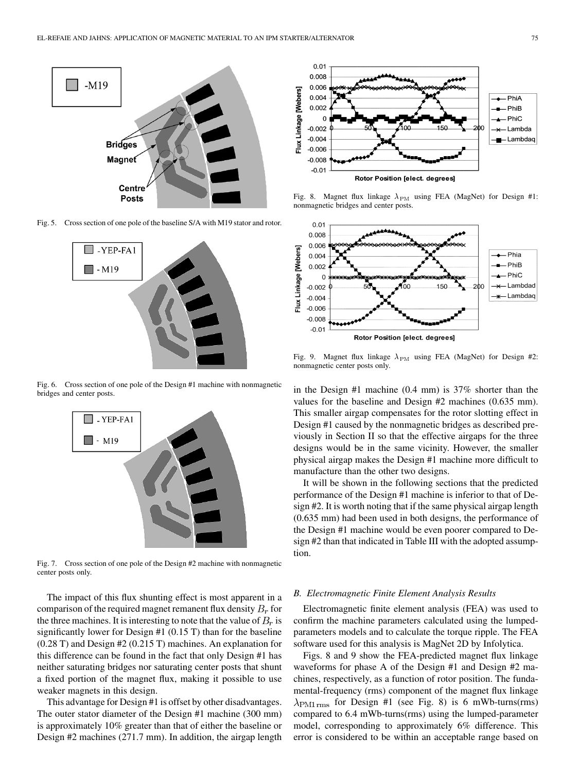

Fig. 5. Cross section of one pole of the baseline S/A with M19 stator and rotor.



Fig. 6. Cross section of one pole of the Design #1 machine with nonmagnetic bridges and center posts.



Fig. 7. Cross section of one pole of the Design #2 machine with nonmagnetic center posts only.

The impact of this flux shunting effect is most apparent in a comparison of the required magnet remanent flux density  $B_r$  for the three machines. It is interesting to note that the value of  $B<sub>r</sub>$  is significantly lower for Design #1 (0.15 T) than for the baseline (0.28 T) and Design #2 (0.215 T) machines. An explanation for this difference can be found in the fact that only Design #1 has neither saturating bridges nor saturating center posts that shunt a fixed portion of the magnet flux, making it possible to use weaker magnets in this design.

This advantage for Design #1 is offset by other disadvantages. The outer stator diameter of the Design #1 machine (300 mm) is approximately 10% greater than that of either the baseline or Design #2 machines (271.7 mm). In addition, the airgap length



Fig. 8. Magnet flux linkage  $\lambda_{\rm PM}$  using FEA (MagNet) for Design #1: nonmagnetic bridges and center posts.



Fig. 9. Magnet flux linkage  $\lambda_{\rm PM}$  using FEA (MagNet) for Design #2: nonmagnetic center posts only.

in the Design #1 machine (0.4 mm) is 37% shorter than the values for the baseline and Design #2 machines (0.635 mm). This smaller airgap compensates for the rotor slotting effect in Design #1 caused by the nonmagnetic bridges as described previously in Section II so that the effective airgaps for the three designs would be in the same vicinity. However, the smaller physical airgap makes the Design #1 machine more difficult to manufacture than the other two designs.

It will be shown in the following sections that the predicted performance of the Design #1 machine is inferior to that of Design #2. It is worth noting that if the same physical airgap length (0.635 mm) had been used in both designs, the performance of the Design #1 machine would be even poorer compared to Design #2 than that indicated in Table III with the adopted assumption.

#### *B. Electromagnetic Finite Element Analysis Results*

Electromagnetic finite element analysis (FEA) was used to confirm the machine parameters calculated using the lumpedparameters models and to calculate the torque ripple. The FEA software used for this analysis is MagNet 2D by Infolytica.

Figs. 8 and 9 show the FEA-predicted magnet flux linkage waveforms for phase A of the Design #1 and Design #2 machines, respectively, as a function of rotor position. The fundamental-frequency (rms) component of the magnet flux linkage  $\lambda_{\rm PM1\,rms}$  for Design #1 (see Fig. 8) is 6 mWb-turns(rms) compared to 6.4 mWb-turns(rms) using the lumped-parameter model, corresponding to approximately 6% difference. This error is considered to be within an acceptable range based on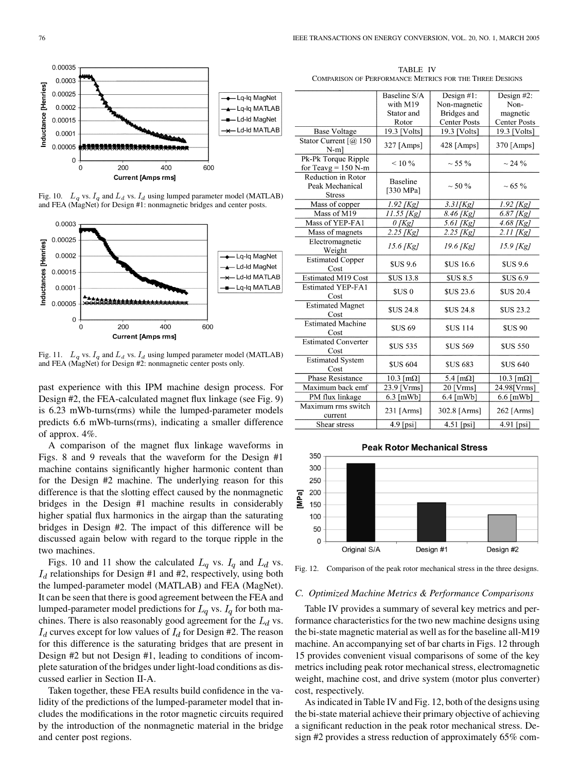

Fig. 10.  $L_q$  vs.  $I_q$  and  $L_d$  vs.  $I_d$  using lumped parameter model (MATLAB) and FEA (MagNet) for Design #1: nonmagnetic bridges and center posts.



Fig. 11.  $L_q$  vs.  $I_q$  and  $L_d$  vs.  $I_d$  using lumped parameter model (MATLAB) and FEA (MagNet) for Design #2: nonmagnetic center posts only.

past experience with this IPM machine design process. For Design #2, the FEA-calculated magnet flux linkage (see Fig. 9) is 6.23 mWb-turns(rms) while the lumped-parameter models predicts 6.6 mWb-turns(rms), indicating a smaller difference of approx. 4%.

A comparison of the magnet flux linkage waveforms in Figs. 8 and 9 reveals that the waveform for the Design #1 machine contains significantly higher harmonic content than for the Design #2 machine. The underlying reason for this difference is that the slotting effect caused by the nonmagnetic bridges in the Design #1 machine results in considerably higher spatial flux harmonics in the airgap than the saturating bridges in Design #2. The impact of this difference will be discussed again below with regard to the torque ripple in the two machines.

Figs. 10 and 11 show the calculated  $L_q$  vs.  $I_q$  and  $L_d$  vs.  $I_d$  relationships for Design #1 and #2, respectively, using both the lumped-parameter model (MATLAB) and FEA (MagNet). It can be seen that there is good agreement between the FEA and lumped-parameter model predictions for  $L_q$  vs.  $I_q$  for both machines. There is also reasonably good agreement for the  $L_d$  vs.  $I_d$  curves except for low values of  $I_d$  for Design #2. The reason for this difference is the saturating bridges that are present in Design #2 but not Design #1, leading to conditions of incomplete saturation of the bridges under light-load conditions as discussed earlier in Section II-A.

Taken together, these FEA results build confidence in the validity of the predictions of the lumped-parameter model that includes the modifications in the rotor magnetic circuits required by the introduction of the nonmagnetic material in the bridge and center post regions.

| TABLE IV                                                |  |
|---------------------------------------------------------|--|
| COMPARISON OF PERFORMANCE METRICS FOR THE THREE DESIGNS |  |

|                                                        | Baseline S/A                 | Design $#1$ :               | Design #2:             |
|--------------------------------------------------------|------------------------------|-----------------------------|------------------------|
|                                                        | with M19                     | Non-magnetic                | Non-                   |
|                                                        | Stator and                   | Bridges and                 | magnetic               |
|                                                        | Rotor                        | <b>Center Posts</b>         | <b>Center Posts</b>    |
| <b>Base Voltage</b>                                    | 19.3 [Volts]                 | 19.3 [Volts]                | 19.3 [Volts]           |
| Stator Current $\lceil$ ( <i>a</i> ) 150<br>$N-m$ ]    | 327 [Amps]                   | $428$ [Amps]                | 370 [Amps]             |
| Pk-Pk Torque Ripple<br>for Teavg = $150$ N-m           | $< 10\%$                     | $\sim$ 55 %                 | $\sim$ 24 %            |
| Reduction in Rotor<br>Peak Mechanical<br><b>Stress</b> | <b>Baseline</b><br>[330 MPa] | $\sim$ 50 %                 | $\sim 65 \%$           |
| Mass of copper                                         | $1.92$ [Kg]                  | 3.31[Kg]                    | $1.92$ [Kg]            |
| Mass of M19                                            | 11.55 [Kg]                   | 8.46 [Kg]                   | $\overline{6.87}$ [Kg] |
| Mass of YEP-FA1                                        | $0$ [Kg]                     | $5.61$ [Kg]                 | $4.68$ [Kg]            |
| Mass of magnets                                        | 2.25 [Kg]                    | $2.25$ [Kg]                 | $2.11$ [Kg]            |
| Electromagnetic<br>Weight                              | 15.6 [Kg]                    | $19.6$ [Kg]                 | $15.9$ [Kg]            |
| <b>Estimated Copper</b><br>Cost                        | <b>SUS 9.6</b>               | <b>SUS 16.6</b>             | <b>SUS 9.6</b>         |
| Estimated M19 Cost                                     | <b>\$US 13.8</b>             | <b>SUS 8.5</b>              | <b>SUS 6.9</b>         |
| <b>Estimated YEP-FA1</b><br>Cost                       | \$US 0                       | <b>SUS 23.6</b>             | <b>SUS 20.4</b>        |
| <b>Estimated Magnet</b><br>Cost                        | <b>SUS 24.8</b>              | <b>SUS 24.8</b>             | <b>SUS 23.2</b>        |
| <b>Estimated Machine</b><br>Cost                       | <b>SUS 69</b>                | <b>SUS 114</b>              | <b>SUS 90</b>          |
| Estimated Converter<br>Cost                            | <b>SUS 535</b>               | <b>SUS 569</b>              | <b>SUS 550</b>         |
| <b>Estimated System</b><br>Cost                        | <b>\$US 604</b>              | <b>SUS 683</b>              | <b>SUS 640</b>         |
| <b>Phase Resistance</b>                                | $10.3$ [m $\Omega$ ]         | 5.4 $\lceil m\Omega \rceil$ | $10.3$ [m $\Omega$ ]   |
| Maximum back emf                                       | 23.9 [Vrms]                  | 20 [Vrms]                   | 24.98[Vrms]            |
| PM flux linkage                                        | $6.3$ [mWb]                  | $6.4$ [mWb]                 | $6.6$ [mWb]            |
| Maximum rms switch<br>current                          | 231 [Arms]                   | 302.8 [Arms]                | 262 [Arms]             |
| Shear stress                                           | $4.9$ [psi]                  | 4.51 [psi]                  | $4.91$ [psi]           |



Fig. 12. Comparison of the peak rotor mechanical stress in the three designs.

#### *C. Optimized Machine Metrics & Performance Comparisons*

Table IV provides a summary of several key metrics and performance characteristics for the two new machine designs using the bi-state magnetic material as well as for the baseline all-M19 machine. An accompanying set of bar charts in Figs. 12 through 15 provides convenient visual comparisons of some of the key metrics including peak rotor mechanical stress, electromagnetic weight, machine cost, and drive system (motor plus converter) cost, respectively.

As indicated in Table IV and Fig. 12, both of the designs using the bi-state material achieve their primary objective of achieving a significant reduction in the peak rotor mechanical stress. Design #2 provides a stress reduction of approximately 65% com-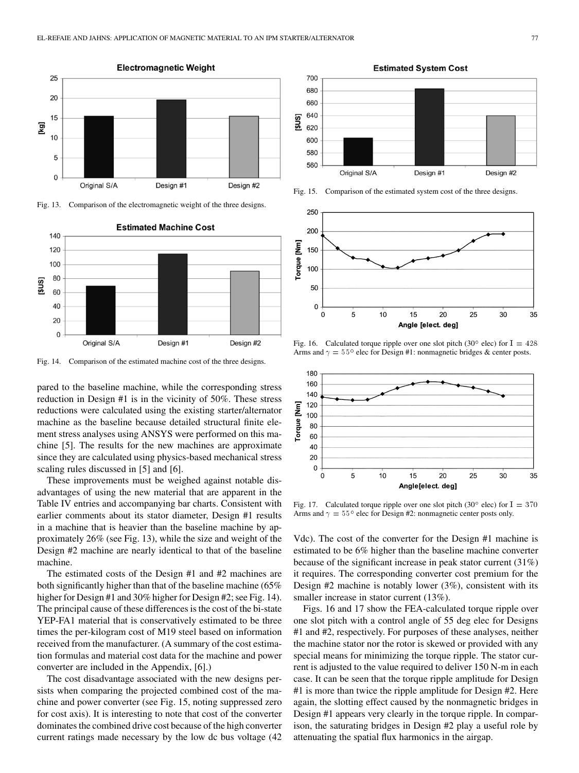

Fig. 13. Comparison of the electromagnetic weight of the three designs.



Fig. 14. Comparison of the estimated machine cost of the three designs.

pared to the baseline machine, while the corresponding stress reduction in Design #1 is in the vicinity of 50%. These stress reductions were calculated using the existing starter/alternator machine as the baseline because detailed structural finite element stress analyses using ANSYS were performed on this machine [[5\]](#page-8-0). The results for the new machines are approximate since they are calculated using physics-based mechanical stress scaling rules discussed in [[5\]](#page-8-0) and [\[6](#page-8-0)].

These improvements must be weighed against notable disadvantages of using the new material that are apparent in the Table IV entries and accompanying bar charts. Consistent with earlier comments about its stator diameter, Design #1 results in a machine that is heavier than the baseline machine by approximately 26% (see Fig. 13), while the size and weight of the Design #2 machine are nearly identical to that of the baseline machine.

The estimated costs of the Design #1 and #2 machines are both significantly higher than that of the baseline machine (65% higher for Design #1 and 30% higher for Design #2; see Fig. 14). The principal cause of these differences is the cost of the bi-state YEP-FA1 material that is conservatively estimated to be three times the per-kilogram cost of M19 steel based on information received from the manufacturer. (A summary of the cost estimation formulas and material cost data for the machine and power converter are included in the Appendix, [[6\]](#page-8-0).)

The cost disadvantage associated with the new designs persists when comparing the projected combined cost of the machine and power converter (see Fig. 15, noting suppressed zero for cost axis). It is interesting to note that cost of the converter dominates the combined drive cost because of the high converter current ratings made necessary by the low dc bus voltage (42



Fig. 15. Comparison of the estimated system cost of the three designs.



Fig. 16. Calculated torque ripple over one slot pitch (30° elec) for I =  $428$ Arms and  $\gamma = 55^{\circ}$  elec for Design #1: nonmagnetic bridges & center posts.



Fig. 17. Calculated torque ripple over one slot pitch (30 $^{\circ}$  elec) for I = 370 Arms and  $\gamma = 55^{\circ}$  elec for Design #2: nonmagnetic center posts only.

Vdc). The cost of the converter for the Design #1 machine is estimated to be 6% higher than the baseline machine converter because of the significant increase in peak stator current (31%) it requires. The corresponding converter cost premium for the Design #2 machine is notably lower (3%), consistent with its smaller increase in stator current  $(13\%)$ .

Figs. 16 and 17 show the FEA-calculated torque ripple over one slot pitch with a control angle of 55 deg elec for Designs #1 and #2, respectively. For purposes of these analyses, neither the machine stator nor the rotor is skewed or provided with any special means for minimizing the torque ripple. The stator current is adjusted to the value required to deliver 150 N-m in each case. It can be seen that the torque ripple amplitude for Design #1 is more than twice the ripple amplitude for Design #2. Here again, the slotting effect caused by the nonmagnetic bridges in Design #1 appears very clearly in the torque ripple. In comparison, the saturating bridges in Design #2 play a useful role by attenuating the spatial flux harmonics in the airgap.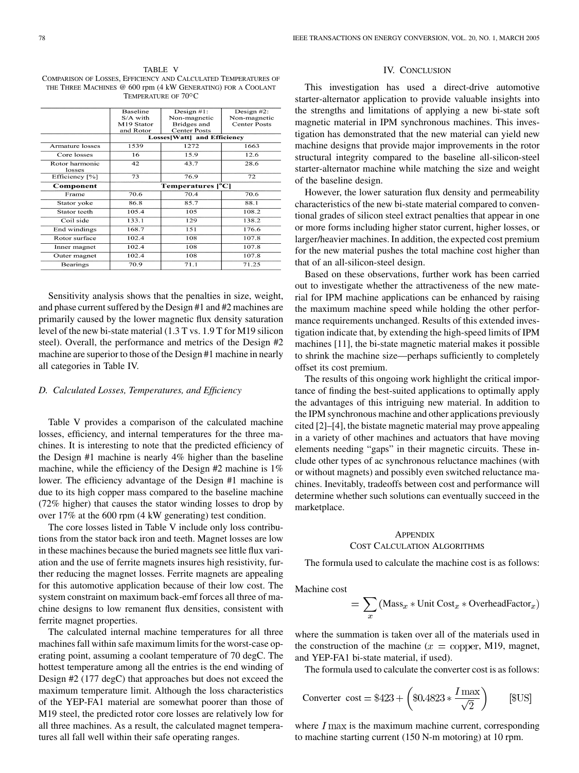TABLE V COMPARISON OF LOSSES, EFFICIENCY AND CALCULATED TEMPERATURES OF THE THREE MACHINES @ 600 rpm (4 kW GENERATING) FOR A COOLANT TEMPERATURE OF 70°C.

|                          | <b>Baseline</b> | Design $#1$ :               | Design $#2$ :       |
|--------------------------|-----------------|-----------------------------|---------------------|
|                          | S/A with        | Non-magnetic                | Non-magnetic        |
|                          | M19 Stator      | Bridges and                 | <b>Center Posts</b> |
|                          | and Rotor       | <b>Center Posts</b>         |                     |
|                          |                 | Losses[Watt] and Efficiency |                     |
| Armature losses          | 1539            | 1272                        | 1663                |
| Core losses              | 16              | 15.9                        | 12.6                |
| Rotor harmonic<br>losses | 42              | 43.7                        | 28.6                |
| Efficiency [%]           | 73              | 76.9                        | 72                  |
| Component                |                 | Temperatures [°C]           |                     |
| Frame                    | 70.6            | 70.4                        | 70.6                |
| Stator yoke              | 86.8            | 85.7                        | 88.1                |
| Stator teeth             | 105.4           | 105                         | 108.2               |
| Coil side                | 133.1           | 129                         | 138.2               |
| End windings             | 168.7           | 151                         | 176.6               |
| Rotor surface            | 102.4           | 108                         | 107.8               |
| Inner magnet             | 102.4           | 108                         | 107.8               |
| Outer magnet             | 102.4           | 108                         | 107.8               |
| Bearings                 | 70.9            | 71.1                        | 71.25               |
|                          |                 |                             |                     |

Sensitivity analysis shows that the penalties in size, weight, and phase current suffered by the Design #1 and #2 machines are primarily caused by the lower magnetic flux density saturation level of the new bi-state material (1.3 T vs. 1.9 T for M19 silicon steel). Overall, the performance and metrics of the Design #2 machine are superior to those of the Design #1 machine in nearly all categories in Table IV.

#### *D. Calculated Losses, Temperatures, and Efficiency*

Table V provides a comparison of the calculated machine losses, efficiency, and internal temperatures for the three machines. It is interesting to note that the predicted efficiency of the Design #1 machine is nearly 4% higher than the baseline machine, while the efficiency of the Design #2 machine is 1% lower. The efficiency advantage of the Design #1 machine is due to its high copper mass compared to the baseline machine (72% higher) that causes the stator winding losses to drop by over 17% at the 600 rpm (4 kW generating) test condition.

The core losses listed in Table V include only loss contributions from the stator back iron and teeth. Magnet losses are low in these machines because the buried magnets see little flux variation and the use of ferrite magnets insures high resistivity, further reducing the magnet losses. Ferrite magnets are appealing for this automotive application because of their low cost. The system constraint on maximum back-emf forces all three of machine designs to low remanent flux densities, consistent with ferrite magnet properties.

The calculated internal machine temperatures for all three machines fall within safe maximum limits for the worst-case operating point, assuming a coolant temperature of 70 degC. The hottest temperature among all the entries is the end winding of Design #2 (177 degC) that approaches but does not exceed the maximum temperature limit. Although the loss characteristics of the YEP-FA1 material are somewhat poorer than those of M19 steel, the predicted rotor core losses are relatively low for all three machines. As a result, the calculated magnet temperatures all fall well within their safe operating ranges.

## IV. CONCLUSION

This investigation has used a direct-drive automotive starter-alternator application to provide valuable insights into the strengths and limitations of applying a new bi-state soft magnetic material in IPM synchronous machines. This investigation has demonstrated that the new material can yield new machine designs that provide major improvements in the rotor structural integrity compared to the baseline all-silicon-steel starter-alternator machine while matching the size and weight of the baseline design.

However, the lower saturation flux density and permeability characteristics of the new bi-state material compared to conventional grades of silicon steel extract penalties that appear in one or more forms including higher stator current, higher losses, or larger/heavier machines. In addition, the expected cost premium for the new material pushes the total machine cost higher than that of an all-silicon-steel design.

Based on these observations, further work has been carried out to investigate whether the attractiveness of the new material for IPM machine applications can be enhanced by raising the maximum machine speed while holding the other performance requirements unchanged. Results of this extended investigation indicate that, by extending the high-speed limits of IPM machines [\[11](#page-8-0)], the bi-state magnetic material makes it possible to shrink the machine size—perhaps sufficiently to completely offset its cost premium.

The results of this ongoing work highlight the critical importance of finding the best-suited applications to optimally apply the advantages of this intriguing new material. In addition to the IPM synchronous machine and other applications previously cited [\[2](#page-8-0)]–[[4\]](#page-8-0), the bistate magnetic material may prove appealing in a variety of other machines and actuators that have moving elements needing "gaps" in their magnetic circuits. These include other types of ac synchronous reluctance machines (with or without magnets) and possibly even switched reluctance machines. Inevitably, tradeoffs between cost and performance will determine whether such solutions can eventually succeed in the marketplace.

## **APPENDIX** COST CALCULATION ALGORITHMS

The formula used to calculate the machine cost is as follows:

Machine cost

$$
= \sum_x \left( \mathrm{Mass}_x * \mathrm{Unit\,Cost}_x * \mathrm{OverheadFactor}_x \right)
$$

where the summation is taken over all of the materials used in the construction of the machine  $(x =$  copper, M19, magnet, and YEP-FA1 bi-state material, if used).

The formula used to calculate the converter cost is as follows:

$$
\text{Converter cost} = \$423 + \left(\$0.4823 * \frac{I \text{ max}}{\sqrt{2}}\right) \qquad [\$US]
$$

where  $I$  max is the maximum machine current, corresponding to machine starting current (150 N-m motoring) at 10 rpm.